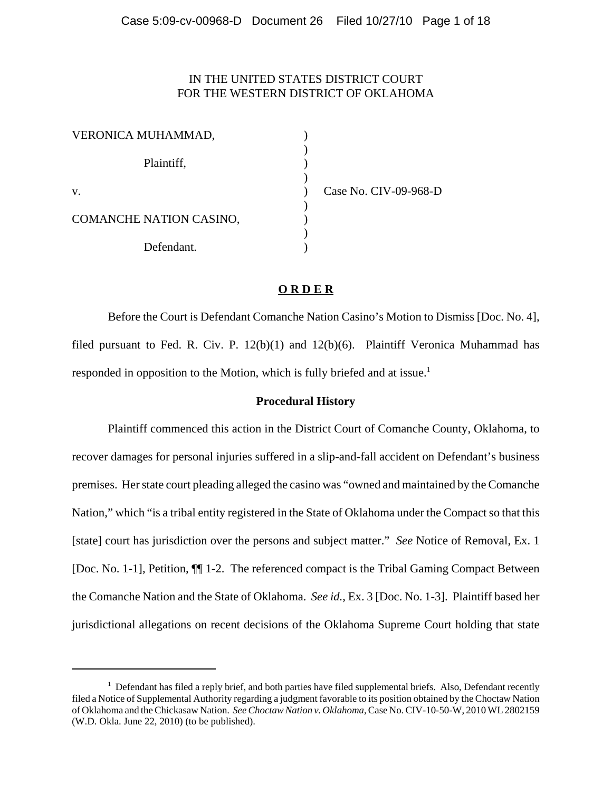# IN THE UNITED STATES DISTRICT COURT FOR THE WESTERN DISTRICT OF OKLAHOMA

| VERONICA MUHAMMAD,      |  |
|-------------------------|--|
| Plaintiff,              |  |
| $V_{\cdot}$             |  |
| COMANCHE NATION CASINO, |  |
| Defendant.              |  |

Case No. CIV-09-968-D

# **O R D E R**

Before the Court is Defendant Comanche Nation Casino's Motion to Dismiss [Doc. No. 4], filed pursuant to Fed. R. Civ. P. 12(b)(1) and 12(b)(6). Plaintiff Veronica Muhammad has responded in opposition to the Motion, which is fully briefed and at issue.<sup>1</sup>

# **Procedural History**

Plaintiff commenced this action in the District Court of Comanche County, Oklahoma, to recover damages for personal injuries suffered in a slip-and-fall accident on Defendant's business premises. Her state court pleading alleged the casino was "owned and maintained by the Comanche Nation," which "is a tribal entity registered in the State of Oklahoma under the Compact so that this [state] court has jurisdiction over the persons and subject matter." *See* Notice of Removal, Ex. 1 [Doc. No. 1-1], Petition, ¶¶ 1-2. The referenced compact is the Tribal Gaming Compact Between the Comanche Nation and the State of Oklahoma. *See id.*, Ex. 3 [Doc. No. 1-3]. Plaintiff based her jurisdictional allegations on recent decisions of the Oklahoma Supreme Court holding that state

<sup>&</sup>lt;sup>1</sup> Defendant has filed a reply brief, and both parties have filed supplemental briefs. Also, Defendant recently filed a Notice of Supplemental Authority regarding a judgment favorable to its position obtained by the Choctaw Nation of Oklahoma and the Chickasaw Nation. *SeeChoctaw Nation v. Oklahoma*, Case No. CIV-10-50-W, 2010 WL 2802159 (W.D. Okla. June 22, 2010) (to be published).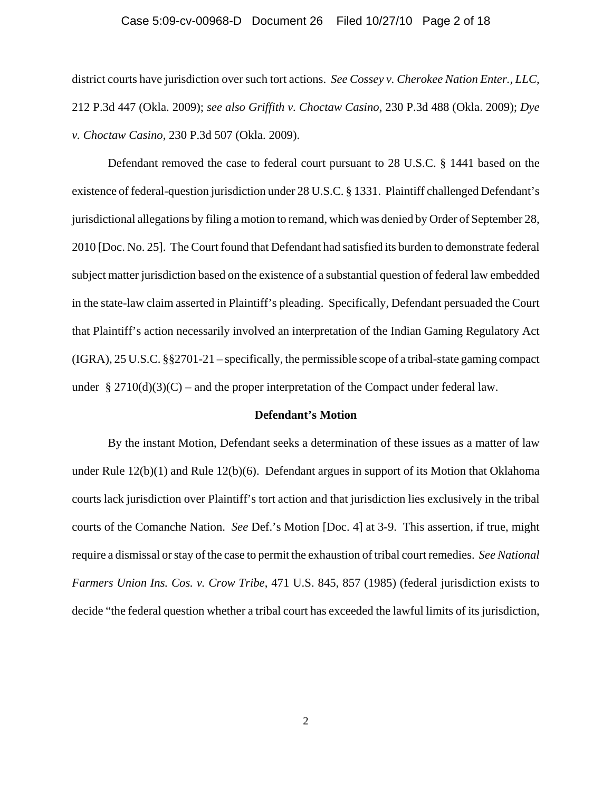#### Case 5:09-cv-00968-D Document 26 Filed 10/27/10 Page 2 of 18

district courts have jurisdiction over such tort actions. *See Cossey v. Cherokee Nation Enter., LLC*, 212 P.3d 447 (Okla. 2009); *see also Griffith v. Choctaw Casino*, 230 P.3d 488 (Okla. 2009); *Dye v. Choctaw Casino*, 230 P.3d 507 (Okla. 2009).

Defendant removed the case to federal court pursuant to 28 U.S.C. § 1441 based on the existence of federal-question jurisdiction under 28 U.S.C. § 1331. Plaintiff challenged Defendant's jurisdictional allegations by filing a motion to remand, which was denied by Order of September 28, 2010 [Doc. No. 25]. The Court found that Defendant had satisfied its burden to demonstrate federal subject matter jurisdiction based on the existence of a substantial question of federal law embedded in the state-law claim asserted in Plaintiff's pleading. Specifically, Defendant persuaded the Court that Plaintiff's action necessarily involved an interpretation of the Indian Gaming Regulatory Act (IGRA), 25 U.S.C. §§2701-21 – specifically, the permissible scope of a tribal-state gaming compact under  $\S 2710(d)(3)(C)$  – and the proper interpretation of the Compact under federal law.

#### **Defendant's Motion**

By the instant Motion, Defendant seeks a determination of these issues as a matter of law under Rule 12(b)(1) and Rule 12(b)(6). Defendant argues in support of its Motion that Oklahoma courts lack jurisdiction over Plaintiff's tort action and that jurisdiction lies exclusively in the tribal courts of the Comanche Nation. *See* Def.'s Motion [Doc. 4] at 3-9. This assertion, if true, might require a dismissal or stay of the case to permit the exhaustion of tribal court remedies. *See National Farmers Union Ins. Cos. v. Crow Tribe*, 471 U.S. 845, 857 (1985) (federal jurisdiction exists to decide "the federal question whether a tribal court has exceeded the lawful limits of its jurisdiction,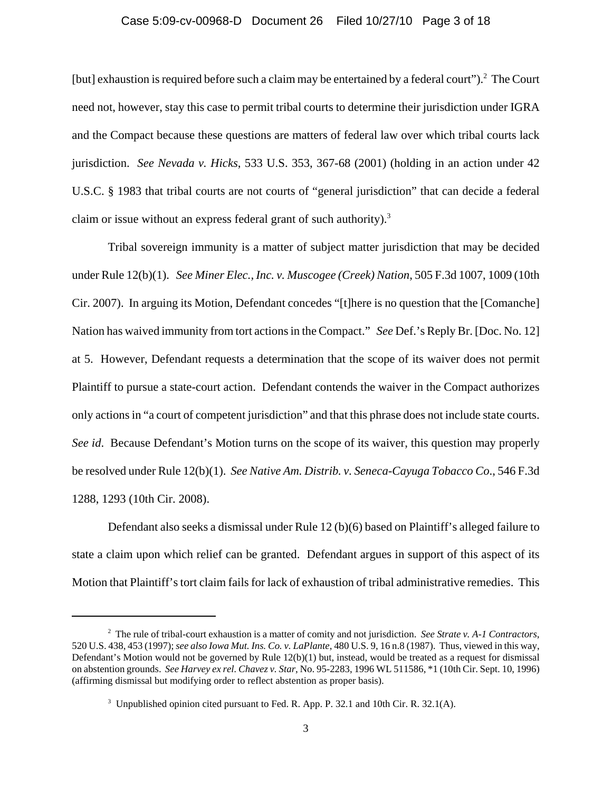#### Case 5:09-cv-00968-D Document 26 Filed 10/27/10 Page 3 of 18

[but] exhaustion is required before such a claim may be entertained by a federal court").<sup>2</sup> The Court need not, however, stay this case to permit tribal courts to determine their jurisdiction under IGRA and the Compact because these questions are matters of federal law over which tribal courts lack jurisdiction. *See Nevada v. Hicks*, 533 U.S. 353, 367-68 (2001) (holding in an action under 42 U.S.C. § 1983 that tribal courts are not courts of "general jurisdiction" that can decide a federal claim or issue without an express federal grant of such authority).<sup>3</sup>

Tribal sovereign immunity is a matter of subject matter jurisdiction that may be decided under Rule 12(b)(1). *See Miner Elec., Inc. v. Muscogee (Creek) Nation*, 505 F.3d 1007, 1009 (10th Cir. 2007). In arguing its Motion, Defendant concedes "[t]here is no question that the [Comanche] Nation has waived immunity from tort actions in the Compact." *See* Def.'s Reply Br. [Doc. No. 12] at 5. However, Defendant requests a determination that the scope of its waiver does not permit Plaintiff to pursue a state-court action. Defendant contends the waiver in the Compact authorizes only actions in "a court of competent jurisdiction" and that this phrase does not include state courts. *See id*. Because Defendant's Motion turns on the scope of its waiver, this question may properly be resolved under Rule 12(b)(1). *See Native Am. Distrib. v. Seneca-Cayuga Tobacco Co*., 546 F.3d 1288, 1293 (10th Cir. 2008).

Defendant also seeks a dismissal under Rule 12 (b)(6) based on Plaintiff's alleged failure to state a claim upon which relief can be granted. Defendant argues in support of this aspect of its Motion that Plaintiff's tort claim fails for lack of exhaustion of tribal administrative remedies. This

<sup>2</sup> The rule of tribal-court exhaustion is a matter of comity and not jurisdiction. *See Strate v. A-1 Contractors*, 520 U.S. 438, 453 (1997); *see also Iowa Mut. Ins. Co. v. LaPlante*, 480 U.S. 9, 16 n.8 (1987). Thus, viewed in this way, Defendant's Motion would not be governed by Rule  $12(b)(1)$  but, instead, would be treated as a request for dismissal on abstention grounds. *See Harvey ex rel. Chavez v. Star*, No. 95-2283, 1996 WL 511586, \*1 (10th Cir. Sept. 10, 1996) (affirming dismissal but modifying order to reflect abstention as proper basis).

<sup>&</sup>lt;sup>3</sup> Unpublished opinion cited pursuant to Fed. R. App. P. 32.1 and 10th Cir. R. 32.1(A).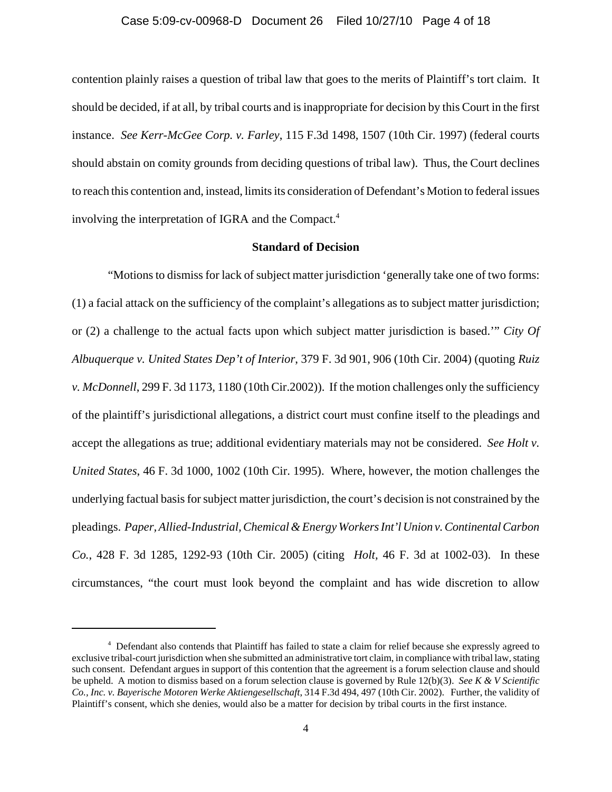# Case 5:09-cv-00968-D Document 26 Filed 10/27/10 Page 4 of 18

contention plainly raises a question of tribal law that goes to the merits of Plaintiff's tort claim. It should be decided, if at all, by tribal courts and is inappropriate for decision by this Court in the first instance. *See Kerr-McGee Corp. v. Farley*, 115 F.3d 1498, 1507 (10th Cir. 1997) (federal courts should abstain on comity grounds from deciding questions of tribal law). Thus, the Court declines to reach this contention and, instead, limits its consideration of Defendant's Motion to federal issues involving the interpretation of IGRA and the Compact.<sup>4</sup>

## **Standard of Decision**

"Motions to dismiss for lack of subject matter jurisdiction 'generally take one of two forms: (1) a facial attack on the sufficiency of the complaint's allegations as to subject matter jurisdiction; or (2) a challenge to the actual facts upon which subject matter jurisdiction is based.'" *City Of Albuquerque v. United States Dep't of Interior*, 379 F. 3d 901, 906 (10th Cir. 2004) (quoting *Ruiz v. McDonnell*, 299 F. 3d 1173, 1180 (10th Cir.2002)). If the motion challenges only the sufficiency of the plaintiff's jurisdictional allegations, a district court must confine itself to the pleadings and accept the allegations as true; additional evidentiary materials may not be considered. *See Holt v. United States*, 46 F. 3d 1000, 1002 (10th Cir. 1995). Where, however, the motion challenges the underlying factual basis for subject matter jurisdiction, the court's decision is not constrained by the pleadings. *Paper, Allied-Industrial, Chemical & Energy Workers Int'l Union v. Continental Carbon Co.*, 428 F. 3d 1285, 1292-93 (10th Cir. 2005) (citing *Holt,* 46 F. 3d at 1002-03).In these circumstances, "the court must look beyond the complaint and has wide discretion to allow

<sup>&</sup>lt;sup>4</sup> Defendant also contends that Plaintiff has failed to state a claim for relief because she expressly agreed to exclusive tribal-court jurisdiction when she submitted an administrative tort claim, in compliance with tribal law, stating such consent. Defendant argues in support of this contention that the agreement is a forum selection clause and should be upheld. A motion to dismiss based on a forum selection clause is governed by Rule 12(b)(3). *See K & V Scientific Co., Inc. v. Bayerische Motoren Werke Aktiengesellschaft*, 314 F.3d 494, 497 (10th Cir. 2002). Further, the validity of Plaintiff's consent, which she denies, would also be a matter for decision by tribal courts in the first instance.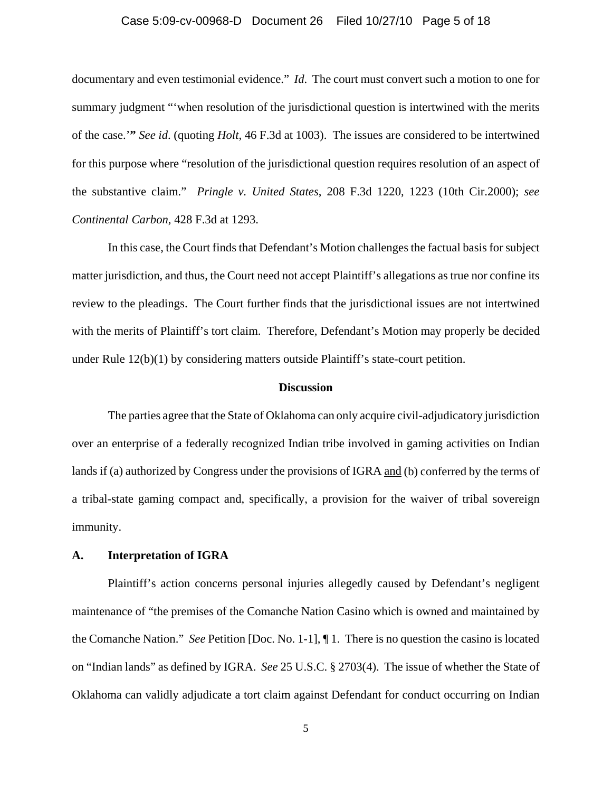#### Case 5:09-cv-00968-D Document 26 Filed 10/27/10 Page 5 of 18

documentary and even testimonial evidence." *Id*. The court must convert such a motion to one for summary judgment "'when resolution of the jurisdictional question is intertwined with the merits of the case.'**"** *See id*. (quoting *Holt*, 46 F.3d at 1003). The issues are considered to be intertwined for this purpose where "resolution of the jurisdictional question requires resolution of an aspect of the substantive claim." *Pringle v. United States*, 208 F.3d 1220, 1223 (10th Cir.2000); *see Continental Carbon*, 428 F.3d at 1293.

In this case, the Court finds that Defendant's Motion challenges the factual basis for subject matter jurisdiction, and thus, the Court need not accept Plaintiff's allegations as true nor confine its review to the pleadings. The Court further finds that the jurisdictional issues are not intertwined with the merits of Plaintiff's tort claim. Therefore, Defendant's Motion may properly be decided under Rule 12(b)(1) by considering matters outside Plaintiff's state-court petition.

#### **Discussion**

The parties agree that the State of Oklahoma can only acquire civil-adjudicatory jurisdiction over an enterprise of a federally recognized Indian tribe involved in gaming activities on Indian lands if (a) authorized by Congress under the provisions of IGRA and (b) conferred by the terms of a tribal-state gaming compact and, specifically, a provision for the waiver of tribal sovereign immunity.

## **A. Interpretation of IGRA**

Plaintiff's action concerns personal injuries allegedly caused by Defendant's negligent maintenance of "the premises of the Comanche Nation Casino which is owned and maintained by the Comanche Nation." *See* Petition [Doc. No. 1-1], ¶ 1. There is no question the casino is located on "Indian lands" as defined by IGRA. *See* 25 U.S.C. § 2703(4). The issue of whether the State of Oklahoma can validly adjudicate a tort claim against Defendant for conduct occurring on Indian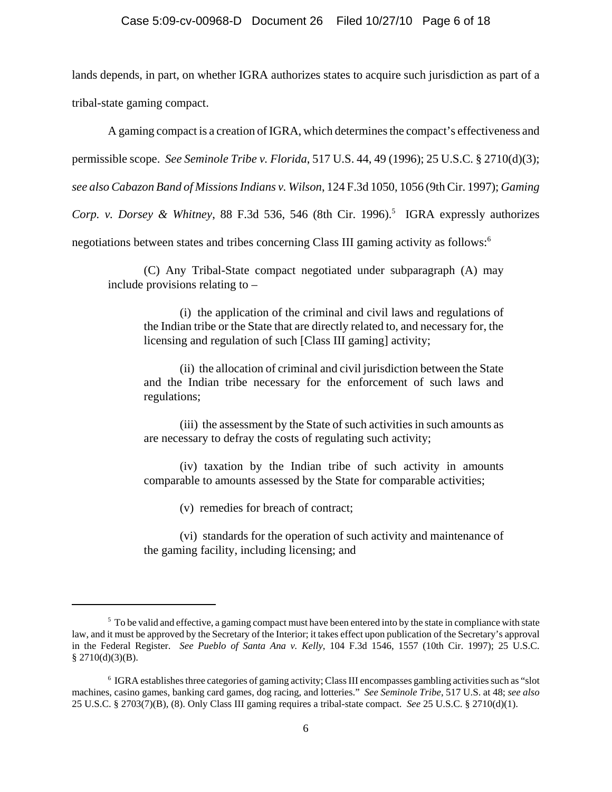lands depends, in part, on whether IGRA authorizes states to acquire such jurisdiction as part of a tribal-state gaming compact.

A gaming compact is a creation of IGRA, which determines the compact's effectiveness and permissible scope. *See Seminole Tribe v. Florida*, 517 U.S. 44, 49 (1996); 25 U.S.C. § 2710(d)(3); *see also Cabazon Band of Missions Indians v. Wilson*, 124 F.3d 1050, 1056 (9th Cir. 1997); *Gaming* Corp. v. Dorsey & Whitney, 88 F.3d 536, 546 (8th Cir. 1996).<sup>5</sup> IGRA expressly authorizes negotiations between states and tribes concerning Class III gaming activity as follows:<sup>6</sup>

(C) Any Tribal-State compact negotiated under subparagraph (A) may include provisions relating to –

(i) the application of the criminal and civil laws and regulations of the Indian tribe or the State that are directly related to, and necessary for, the licensing and regulation of such [Class III gaming] activity;

(ii) the allocation of criminal and civil jurisdiction between the State and the Indian tribe necessary for the enforcement of such laws and regulations;

(iii) the assessment by the State of such activities in such amounts as are necessary to defray the costs of regulating such activity;

(iv) taxation by the Indian tribe of such activity in amounts comparable to amounts assessed by the State for comparable activities;

(v) remedies for breach of contract;

(vi) standards for the operation of such activity and maintenance of the gaming facility, including licensing; and

 $5$  To be valid and effective, a gaming compact must have been entered into by the state in compliance with state law, and it must be approved by the Secretary of the Interior; it takes effect upon publication of the Secretary's approval in the Federal Register. *See Pueblo of Santa Ana v. Kelly*, 104 F.3d 1546, 1557 (10th Cir. 1997); 25 U.S.C.  $§$  2710(d)(3)(B).

<sup>6</sup> IGRA establishes three categories of gaming activity; Class III encompasses gambling activities such as "slot machines, casino games, banking card games, dog racing, and lotteries." *See Seminole Tribe*, 517 U.S. at 48; *see also* 25 U.S.C. § 2703(7)(B), (8). Only Class III gaming requires a tribal-state compact. *See* 25 U.S.C. § 2710(d)(1).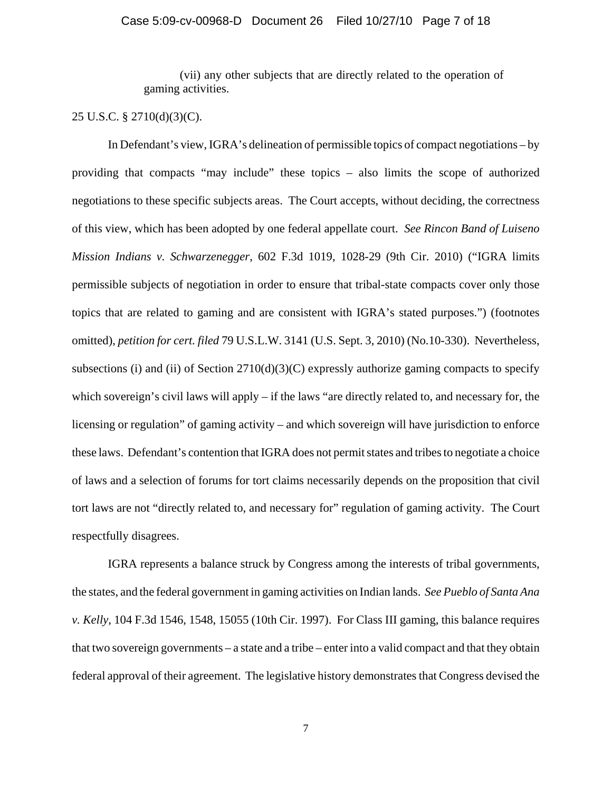(vii) any other subjects that are directly related to the operation of gaming activities.

## 25 U.S.C. § 2710(d)(3)(C).

In Defendant's view, IGRA's delineation of permissible topics of compact negotiations – by providing that compacts "may include" these topics – also limits the scope of authorized negotiations to these specific subjects areas. The Court accepts, without deciding, the correctness of this view, which has been adopted by one federal appellate court. *See Rincon Band of Luiseno Mission Indians v. Schwarzenegger*, 602 F.3d 1019, 1028-29 (9th Cir. 2010) ("IGRA limits permissible subjects of negotiation in order to ensure that tribal-state compacts cover only those topics that are related to gaming and are consistent with IGRA's stated purposes.") (footnotes omitted), *petition for cert. filed* 79 U.S.L.W. 3141 (U.S. Sept. 3, 2010) (No.10-330). Nevertheless, subsections (i) and (ii) of Section  $2710(d)(3)(C)$  expressly authorize gaming compacts to specify which sovereign's civil laws will apply – if the laws "are directly related to, and necessary for, the licensing or regulation" of gaming activity – and which sovereign will have jurisdiction to enforce these laws. Defendant's contention that IGRA does not permit states and tribes to negotiate a choice of laws and a selection of forums for tort claims necessarily depends on the proposition that civil tort laws are not "directly related to, and necessary for" regulation of gaming activity. The Court respectfully disagrees.

IGRA represents a balance struck by Congress among the interests of tribal governments, the states, and the federal government in gaming activities on Indian lands. *See Pueblo of Santa Ana v. Kelly*, 104 F.3d 1546, 1548, 15055 (10th Cir. 1997). For Class III gaming, this balance requires that two sovereign governments – a state and a tribe – enter into a valid compact and that they obtain federal approval of their agreement. The legislative history demonstrates that Congress devised the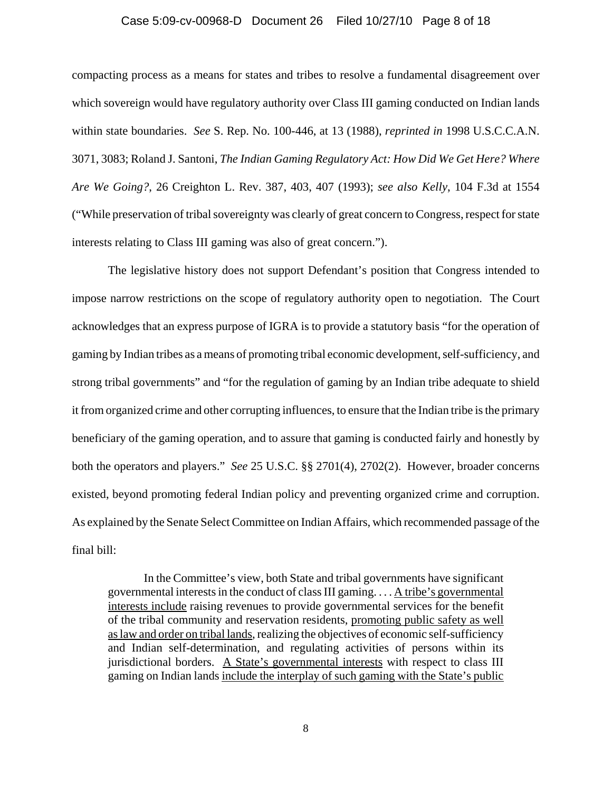#### Case 5:09-cv-00968-D Document 26 Filed 10/27/10 Page 8 of 18

compacting process as a means for states and tribes to resolve a fundamental disagreement over which sovereign would have regulatory authority over Class III gaming conducted on Indian lands within state boundaries. *See* S. Rep. No. 100-446, at 13 (1988), *reprinted in* 1998 U.S.C.C.A.N. 3071, 3083; Roland J. Santoni, *The Indian Gaming Regulatory Act: How Did We Get Here? Where Are We Going?*, 26 Creighton L. Rev. 387, 403, 407 (1993); *see also Kelly*, 104 F.3d at 1554 ("While preservation of tribal sovereignty was clearly of great concern to Congress, respect for state interests relating to Class III gaming was also of great concern.").

The legislative history does not support Defendant's position that Congress intended to impose narrow restrictions on the scope of regulatory authority open to negotiation. The Court acknowledges that an express purpose of IGRA is to provide a statutory basis "for the operation of gaming by Indian tribes as a means of promoting tribal economic development, self-sufficiency, and strong tribal governments" and "for the regulation of gaming by an Indian tribe adequate to shield it from organized crime and other corrupting influences, to ensure that the Indian tribe is the primary beneficiary of the gaming operation, and to assure that gaming is conducted fairly and honestly by both the operators and players." *See* 25 U.S.C. §§ 2701(4), 2702(2). However, broader concerns existed, beyond promoting federal Indian policy and preventing organized crime and corruption. As explained by the Senate Select Committee on Indian Affairs, which recommended passage of the final bill:

In the Committee's view, both State and tribal governments have significant governmental interests in the conduct of class III gaming. . . . A tribe's governmental interests include raising revenues to provide governmental services for the benefit of the tribal community and reservation residents, promoting public safety as well as law and order on tribal lands, realizing the objectives of economic self-sufficiency and Indian self-determination, and regulating activities of persons within its jurisdictional borders. A State's governmental interests with respect to class III gaming on Indian lands include the interplay of such gaming with the State's public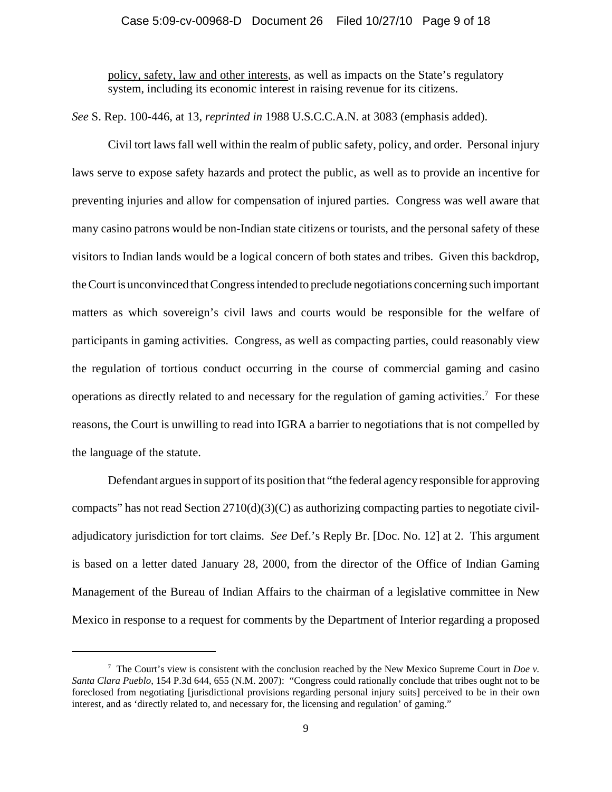## Case 5:09-cv-00968-D Document 26 Filed 10/27/10 Page 9 of 18

policy, safety, law and other interests, as well as impacts on the State's regulatory system, including its economic interest in raising revenue for its citizens.

*See* S. Rep. 100-446, at 13, *reprinted in* 1988 U.S.C.C.A.N. at 3083 (emphasis added).

Civil tort laws fall well within the realm of public safety, policy, and order. Personal injury laws serve to expose safety hazards and protect the public, as well as to provide an incentive for preventing injuries and allow for compensation of injured parties. Congress was well aware that many casino patrons would be non-Indian state citizens or tourists, and the personal safety of these visitors to Indian lands would be a logical concern of both states and tribes. Given this backdrop, the Court is unconvinced that Congress intended to preclude negotiations concerning such important matters as which sovereign's civil laws and courts would be responsible for the welfare of participants in gaming activities. Congress, as well as compacting parties, could reasonably view the regulation of tortious conduct occurring in the course of commercial gaming and casino operations as directly related to and necessary for the regulation of gaming activities.<sup>7</sup> For these reasons, the Court is unwilling to read into IGRA a barrier to negotiations that is not compelled by the language of the statute.

Defendant argues in support of its position that "the federal agency responsible for approving compacts" has not read Section  $2710(d)(3)(C)$  as authorizing compacting parties to negotiate civiladjudicatory jurisdiction for tort claims. *See* Def.'s Reply Br. [Doc. No. 12] at 2. This argument is based on a letter dated January 28, 2000, from the director of the Office of Indian Gaming Management of the Bureau of Indian Affairs to the chairman of a legislative committee in New Mexico in response to a request for comments by the Department of Interior regarding a proposed

<sup>&</sup>lt;sup>7</sup> The Court's view is consistent with the conclusion reached by the New Mexico Supreme Court in *Doe v. Santa Clara Pueblo*, 154 P.3d 644, 655 (N.M. 2007): "Congress could rationally conclude that tribes ought not to be foreclosed from negotiating [jurisdictional provisions regarding personal injury suits] perceived to be in their own interest, and as 'directly related to, and necessary for, the licensing and regulation' of gaming."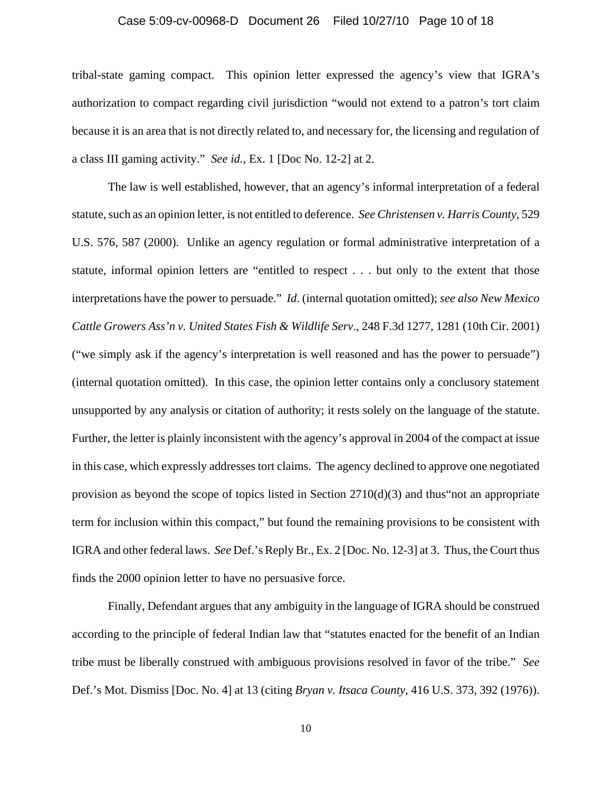#### Case 5:09-cv-00968-D Document 26 Filed 10/27/10 Page 10 of 18

tribal-state gaming compact. This opinion letter expressed the agency's view that IGRA's authorization to compact regarding civil jurisdiction "would not extend to a patron's tort claim because it is an area that is not directly related to, and necessary for, the licensing and regulation of a class III gaming activity." *See id.*, Ex. 1 [Doc No. 12-2] at 2.

The law is well established, however, that an agency's informal interpretation of a federal statute, such as an opinion letter, is not entitled to deference. *See Christensen v. Harris County*, 529 U.S. 576, 587 (2000). Unlike an agency regulation or formal administrative interpretation of a statute, informal opinion letters are "entitled to respect . . . but only to the extent that those interpretations have the power to persuade." *Id*. (internal quotation omitted); *see also New Mexico Cattle Growers Ass'n v. United States Fish & Wildlife Serv*., 248 F.3d 1277, 1281 (10th Cir. 2001) ("we simply ask if the agency's interpretation is well reasoned and has the power to persuade") (internal quotation omitted). In this case, the opinion letter contains only a conclusory statement unsupported by any analysis or citation of authority; it rests solely on the language of the statute. Further, the letter is plainly inconsistent with the agency's approval in 2004 of the compact at issue in this case, which expressly addresses tort claims. The agency declined to approve one negotiated provision as beyond the scope of topics listed in Section 2710(d)(3) and thus"not an appropriate term for inclusion within this compact," but found the remaining provisions to be consistent with IGRA and other federal laws. *See* Def.'s Reply Br., Ex. 2 [Doc. No. 12-3] at 3. Thus, the Court thus finds the 2000 opinion letter to have no persuasive force.

Finally, Defendant argues that any ambiguity in the language of IGRA should be construed according to the principle of federal Indian law that "statutes enacted for the benefit of an Indian tribe must be liberally construed with ambiguous provisions resolved in favor of the tribe." *See* Def.'s Mot. Dismiss [Doc. No. 4] at 13 (citing *Bryan v. Itsaca County*, 416 U.S. 373, 392 (1976)).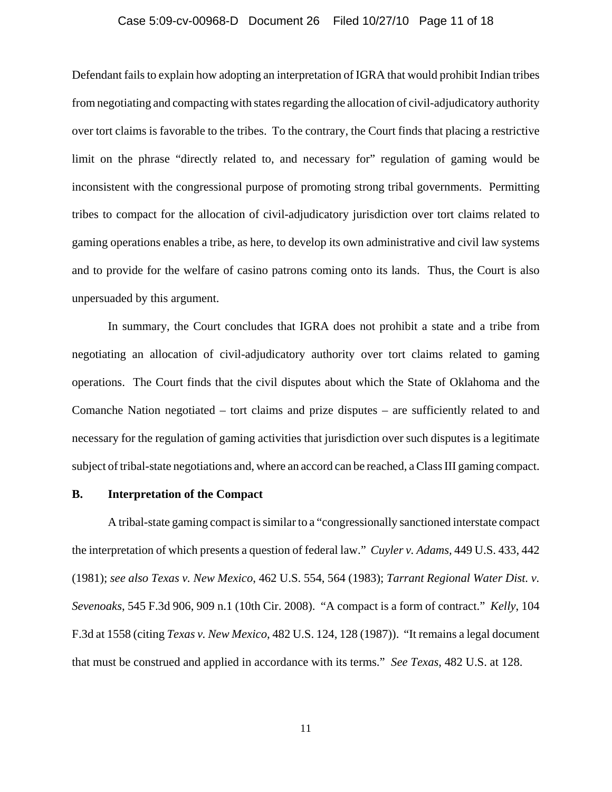#### Case 5:09-cv-00968-D Document 26 Filed 10/27/10 Page 11 of 18

Defendant fails to explain how adopting an interpretation of IGRA that would prohibit Indian tribes from negotiating and compacting with states regarding the allocation of civil-adjudicatory authority over tort claims is favorable to the tribes. To the contrary, the Court finds that placing a restrictive limit on the phrase "directly related to, and necessary for" regulation of gaming would be inconsistent with the congressional purpose of promoting strong tribal governments. Permitting tribes to compact for the allocation of civil-adjudicatory jurisdiction over tort claims related to gaming operations enables a tribe, as here, to develop its own administrative and civil law systems and to provide for the welfare of casino patrons coming onto its lands. Thus, the Court is also unpersuaded by this argument.

In summary, the Court concludes that IGRA does not prohibit a state and a tribe from negotiating an allocation of civil-adjudicatory authority over tort claims related to gaming operations. The Court finds that the civil disputes about which the State of Oklahoma and the Comanche Nation negotiated – tort claims and prize disputes – are sufficiently related to and necessary for the regulation of gaming activities that jurisdiction over such disputes is a legitimate subject of tribal-state negotiations and, where an accord can be reached, a Class III gaming compact.

## **B. Interpretation of the Compact**

A tribal-state gaming compact is similar to a "congressionally sanctioned interstate compact the interpretation of which presents a question of federal law." *Cuyler v. Adams,* 449 U.S. 433, 442 (1981); *see also Texas v. New Mexico*, 462 U.S. 554, 564 (1983); *Tarrant Regional Water Dist. v. Sevenoaks*, 545 F.3d 906, 909 n.1 (10th Cir. 2008). "A compact is a form of contract." *Kelly*, 104 F.3d at 1558 (citing *Texas v. New Mexico*, 482 U.S. 124, 128 (1987)). "It remains a legal document that must be construed and applied in accordance with its terms." *See Texas*, 482 U.S. at 128.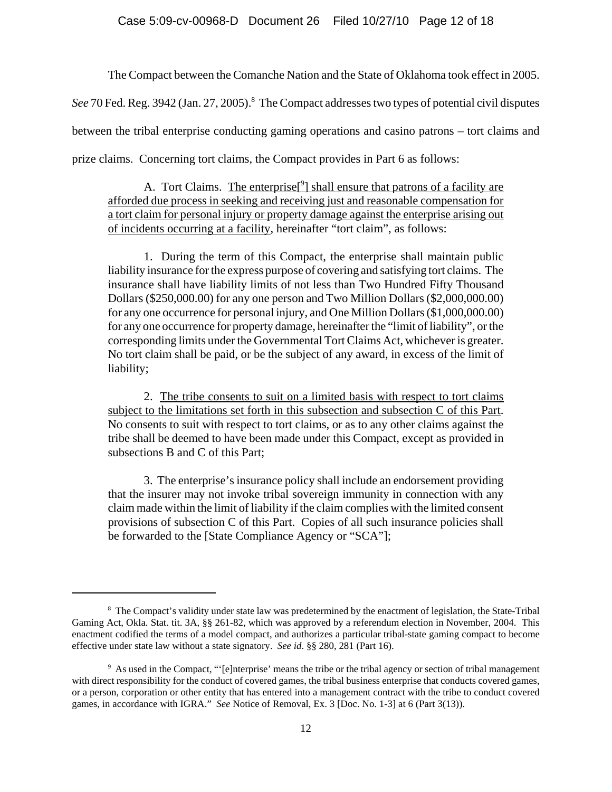The Compact between the Comanche Nation and the State of Oklahoma took effect in 2005.

See 70 Fed. Reg. 3942 (Jan. 27, 2005).<sup>8</sup> The Compact addresses two types of potential civil disputes

between the tribal enterprise conducting gaming operations and casino patrons – tort claims and

prize claims. Concerning tort claims, the Compact provides in Part 6 as follows:

A. Tort Claims. The enterprise<sup>[9</sup>] shall ensure that patrons of a facility are afforded due process in seeking and receiving just and reasonable compensation for a tort claim for personal injury or property damage against the enterprise arising out of incidents occurring at a facility, hereinafter "tort claim", as follows:

1. During the term of this Compact, the enterprise shall maintain public liability insurance for the express purpose of covering and satisfying tort claims. The insurance shall have liability limits of not less than Two Hundred Fifty Thousand Dollars (\$250,000.00) for any one person and Two Million Dollars (\$2,000,000.00) for any one occurrence for personal injury, and One Million Dollars (\$1,000,000.00) for any one occurrence for property damage, hereinafter the "limit of liability", or the corresponding limits under the Governmental Tort Claims Act, whichever is greater. No tort claim shall be paid, or be the subject of any award, in excess of the limit of liability;

2. The tribe consents to suit on a limited basis with respect to tort claims subject to the limitations set forth in this subsection and subsection C of this Part. No consents to suit with respect to tort claims, or as to any other claims against the tribe shall be deemed to have been made under this Compact, except as provided in subsections B and C of this Part;

3. The enterprise's insurance policy shall include an endorsement providing that the insurer may not invoke tribal sovereign immunity in connection with any claim made within the limit of liability if the claim complies with the limited consent provisions of subsection C of this Part. Copies of all such insurance policies shall be forwarded to the [State Compliance Agency or "SCA"];

<sup>&</sup>lt;sup>8</sup> The Compact's validity under state law was predetermined by the enactment of legislation, the State-Tribal Gaming Act, Okla. Stat. tit. 3A, §§ 261-82, which was approved by a referendum election in November, 2004. This enactment codified the terms of a model compact, and authorizes a particular tribal-state gaming compact to become effective under state law without a state signatory. *See id*. §§ 280, 281 (Part 16).

<sup>&</sup>lt;sup>9</sup> As used in the Compact, "'[e]nterprise' means the tribe or the tribal agency or section of tribal management with direct responsibility for the conduct of covered games, the tribal business enterprise that conducts covered games, or a person, corporation or other entity that has entered into a management contract with the tribe to conduct covered games, in accordance with IGRA." *See* Notice of Removal, Ex. 3 [Doc. No. 1-3] at 6 (Part 3(13)).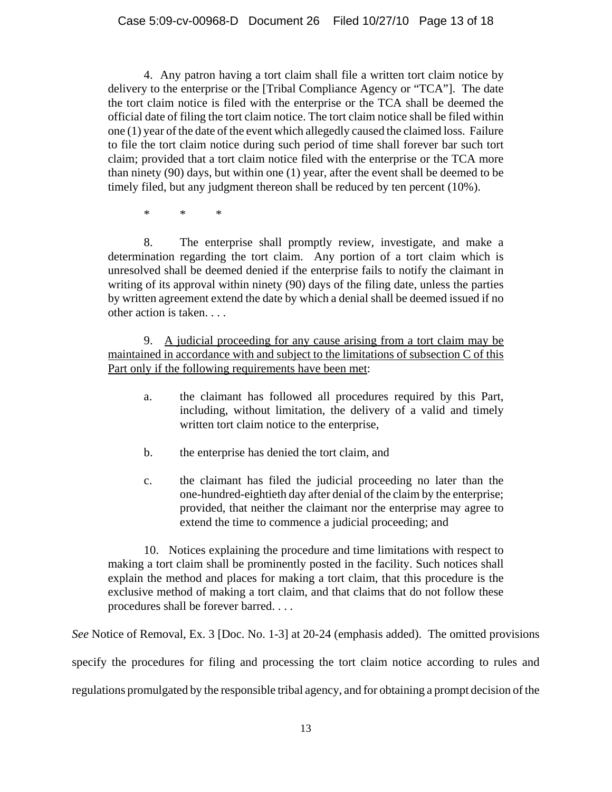4. Any patron having a tort claim shall file a written tort claim notice by delivery to the enterprise or the [Tribal Compliance Agency or "TCA"]. The date the tort claim notice is filed with the enterprise or the TCA shall be deemed the official date of filing the tort claim notice. The tort claim notice shall be filed within one (1) year of the date of the event which allegedly caused the claimed loss. Failure to file the tort claim notice during such period of time shall forever bar such tort claim; provided that a tort claim notice filed with the enterprise or the TCA more than ninety (90) days, but within one (1) year, after the event shall be deemed to be timely filed, but any judgment thereon shall be reduced by ten percent (10%).

\* \* \*

8. The enterprise shall promptly review, investigate, and make a determination regarding the tort claim. Any portion of a tort claim which is unresolved shall be deemed denied if the enterprise fails to notify the claimant in writing of its approval within ninety (90) days of the filing date, unless the parties by written agreement extend the date by which a denial shall be deemed issued if no other action is taken. . . .

9. A judicial proceeding for any cause arising from a tort claim may be maintained in accordance with and subject to the limitations of subsection C of this Part only if the following requirements have been met:

- a. the claimant has followed all procedures required by this Part, including, without limitation, the delivery of a valid and timely written tort claim notice to the enterprise,
- b. the enterprise has denied the tort claim, and
- c. the claimant has filed the judicial proceeding no later than the one-hundred-eightieth day after denial of the claim by the enterprise; provided, that neither the claimant nor the enterprise may agree to extend the time to commence a judicial proceeding; and

10. Notices explaining the procedure and time limitations with respect to making a tort claim shall be prominently posted in the facility. Such notices shall explain the method and places for making a tort claim, that this procedure is the exclusive method of making a tort claim, and that claims that do not follow these procedures shall be forever barred. . . .

*See* Notice of Removal, Ex. 3 [Doc. No. 1-3] at 20-24 (emphasis added). The omitted provisions specify the procedures for filing and processing the tort claim notice according to rules and regulations promulgated by the responsible tribal agency, and for obtaining a prompt decision of the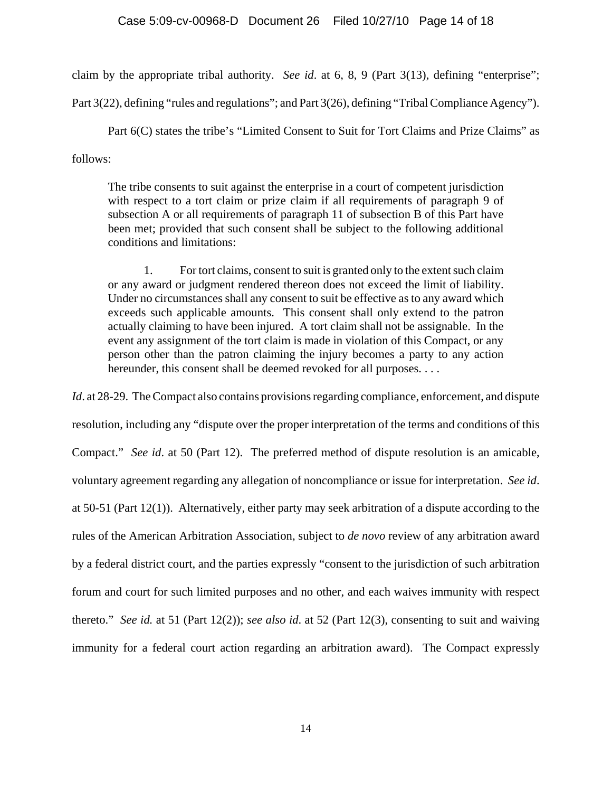claim by the appropriate tribal authority. *See id*. at 6, 8, 9 (Part 3(13), defining "enterprise";

Part 3(22), defining "rules and regulations"; and Part 3(26), defining "Tribal Compliance Agency").

Part 6(C) states the tribe's "Limited Consent to Suit for Tort Claims and Prize Claims" as follows:

The tribe consents to suit against the enterprise in a court of competent jurisdiction with respect to a tort claim or prize claim if all requirements of paragraph 9 of subsection A or all requirements of paragraph 11 of subsection B of this Part have been met; provided that such consent shall be subject to the following additional conditions and limitations:

1. For tort claims, consent to suit is granted only to the extent such claim or any award or judgment rendered thereon does not exceed the limit of liability. Under no circumstances shall any consent to suit be effective as to any award which exceeds such applicable amounts. This consent shall only extend to the patron actually claiming to have been injured. A tort claim shall not be assignable. In the event any assignment of the tort claim is made in violation of this Compact, or any person other than the patron claiming the injury becomes a party to any action hereunder, this consent shall be deemed revoked for all purposes. . . .

*Id.* at 28-29. The Compact also contains provisions regarding compliance, enforcement, and dispute resolution, including any "dispute over the proper interpretation of the terms and conditions of this Compact." *See id*. at 50 (Part 12). The preferred method of dispute resolution is an amicable, voluntary agreement regarding any allegation of noncompliance or issue for interpretation. *See id*. at 50-51 (Part 12(1)). Alternatively, either party may seek arbitration of a dispute according to the rules of the American Arbitration Association, subject to *de novo* review of any arbitration award by a federal district court, and the parties expressly "consent to the jurisdiction of such arbitration forum and court for such limited purposes and no other, and each waives immunity with respect thereto." *See id.* at 51 (Part 12(2)); *see also id*. at 52 (Part 12(3), consenting to suit and waiving immunity for a federal court action regarding an arbitration award). The Compact expressly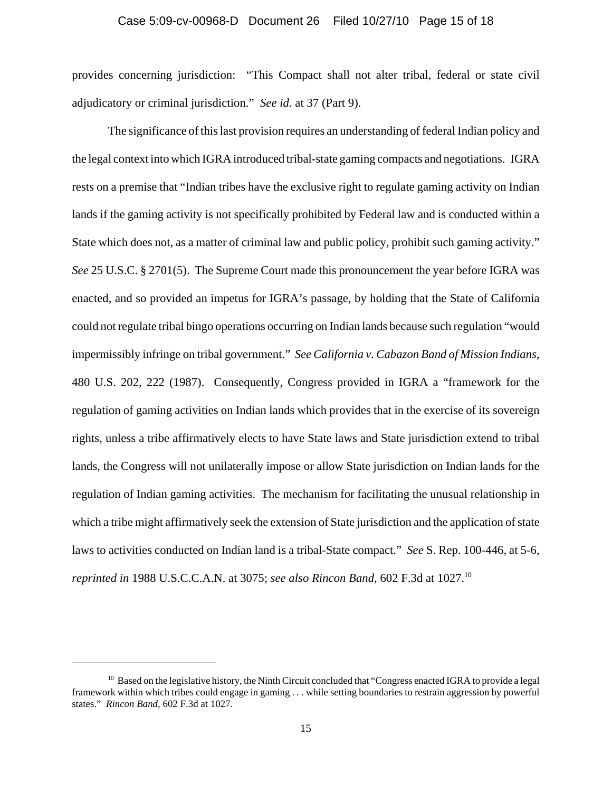#### Case 5:09-cv-00968-D Document 26 Filed 10/27/10 Page 15 of 18

provides concerning jurisdiction: "This Compact shall not alter tribal, federal or state civil adjudicatory or criminal jurisdiction." *See id*. at 37 (Part 9).

The significance of this last provision requires an understanding of federal Indian policy and the legal context into which IGRA introduced tribal-state gaming compacts and negotiations. IGRA rests on a premise that "Indian tribes have the exclusive right to regulate gaming activity on Indian lands if the gaming activity is not specifically prohibited by Federal law and is conducted within a State which does not, as a matter of criminal law and public policy, prohibit such gaming activity." *See* 25 U.S.C. § 2701(5). The Supreme Court made this pronouncement the year before IGRA was enacted, and so provided an impetus for IGRA's passage, by holding that the State of California could not regulate tribal bingo operations occurring on Indian lands because such regulation "would impermissibly infringe on tribal government." *See California v. Cabazon Band of Mission Indians*, 480 U.S. 202, 222 (1987). Consequently, Congress provided in IGRA a "framework for the regulation of gaming activities on Indian lands which provides that in the exercise of its sovereign rights, unless a tribe affirmatively elects to have State laws and State jurisdiction extend to tribal lands, the Congress will not unilaterally impose or allow State jurisdiction on Indian lands for the regulation of Indian gaming activities. The mechanism for facilitating the unusual relationship in which a tribe might affirmatively seek the extension of State jurisdiction and the application of state laws to activities conducted on Indian land is a tribal-State compact." *See* S. Rep. 100-446, at 5-6, *reprinted in* 1988 U.S.C.C.A.N. at 3075; *see also Rincon Band*, 602 F.3d at 1027.10

 $10$  Based on the legislative history, the Ninth Circuit concluded that "Congress enacted IGRA to provide a legal framework within which tribes could engage in gaming . . . while setting boundaries to restrain aggression by powerful states." *Rincon Band*, 602 F.3d at 1027.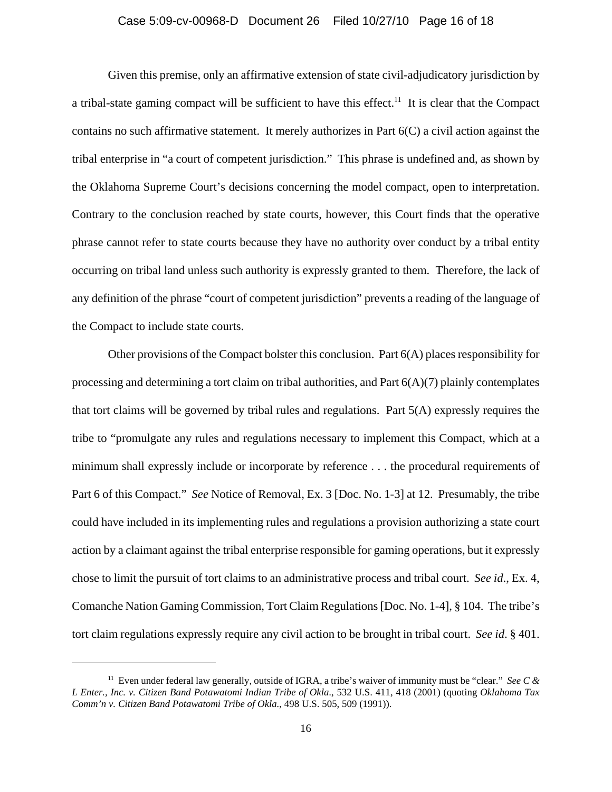#### Case 5:09-cv-00968-D Document 26 Filed 10/27/10 Page 16 of 18

Given this premise, only an affirmative extension of state civil-adjudicatory jurisdiction by a tribal-state gaming compact will be sufficient to have this effect.<sup>11</sup> It is clear that the Compact contains no such affirmative statement. It merely authorizes in Part  $6(C)$  a civil action against the tribal enterprise in "a court of competent jurisdiction." This phrase is undefined and, as shown by the Oklahoma Supreme Court's decisions concerning the model compact, open to interpretation. Contrary to the conclusion reached by state courts, however, this Court finds that the operative phrase cannot refer to state courts because they have no authority over conduct by a tribal entity occurring on tribal land unless such authority is expressly granted to them. Therefore, the lack of any definition of the phrase "court of competent jurisdiction" prevents a reading of the language of the Compact to include state courts.

Other provisions of the Compact bolster this conclusion. Part  $6(A)$  places responsibility for processing and determining a tort claim on tribal authorities, and Part  $6(A)(7)$  plainly contemplates that tort claims will be governed by tribal rules and regulations. Part 5(A) expressly requires the tribe to "promulgate any rules and regulations necessary to implement this Compact, which at a minimum shall expressly include or incorporate by reference . . . the procedural requirements of Part 6 of this Compact." *See* Notice of Removal, Ex. 3 [Doc. No. 1-3] at 12. Presumably, the tribe could have included in its implementing rules and regulations a provision authorizing a state court action by a claimant against the tribal enterprise responsible for gaming operations, but it expressly chose to limit the pursuit of tort claims to an administrative process and tribal court. *See id*., Ex. 4, Comanche Nation Gaming Commission, Tort Claim Regulations [Doc. No. 1-4], § 104. The tribe's tort claim regulations expressly require any civil action to be brought in tribal court. *See id*. § 401.

<sup>11</sup> Even under federal law generally, outside of IGRA, a tribe's waiver of immunity must be "clear." *See C & L Enter., Inc. v. Citizen Band Potawatomi Indian Tribe of Okla*., 532 U.S. 411, 418 (2001) (quoting *Oklahoma Tax Comm'n v. Citizen Band Potawatomi Tribe of Okla.*, 498 U.S. 505, 509 (1991)).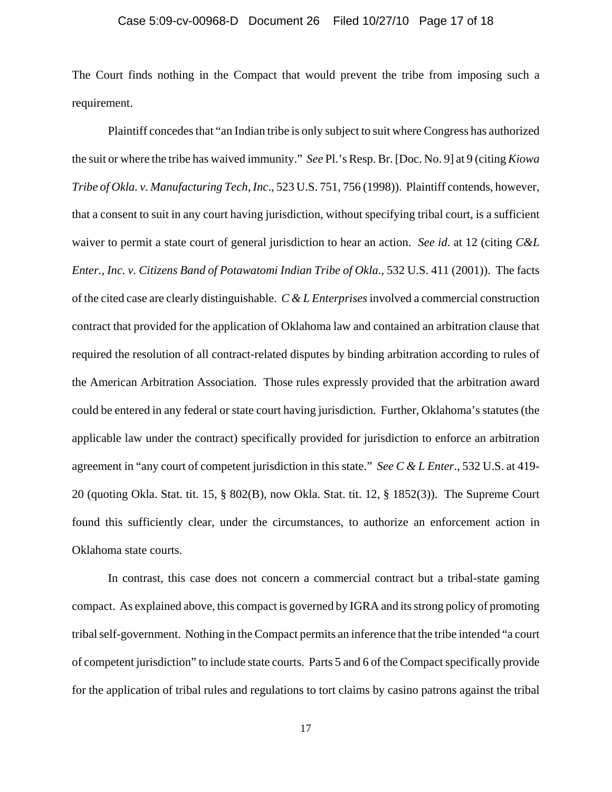#### Case 5:09-cv-00968-D Document 26 Filed 10/27/10 Page 17 of 18

The Court finds nothing in the Compact that would prevent the tribe from imposing such a requirement.

Plaintiff concedes that "an Indian tribe is only subject to suit where Congress has authorized the suit or where the tribe has waived immunity." *See* Pl.'s Resp. Br. [Doc. No. 9] at 9 (citing *Kiowa Tribe of Okla. v. Manufacturing Tech, Inc*., 523 U.S. 751, 756 (1998)). Plaintiff contends, however, that a consent to suit in any court having jurisdiction, without specifying tribal court, is a sufficient waiver to permit a state court of general jurisdiction to hear an action. *See id*. at 12 (citing *C&L Enter., Inc. v. Citizens Band of Potawatomi Indian Tribe of Okla*., 532 U.S. 411 (2001)). The facts of the cited case are clearly distinguishable. *C & L Enterprises* involved a commercial construction contract that provided for the application of Oklahoma law and contained an arbitration clause that required the resolution of all contract-related disputes by binding arbitration according to rules of the American Arbitration Association. Those rules expressly provided that the arbitration award could be entered in any federal or state court having jurisdiction. Further, Oklahoma's statutes (the applicable law under the contract) specifically provided for jurisdiction to enforce an arbitration agreement in "any court of competent jurisdiction in this state." *See C & L Enter*., 532 U.S. at 419- 20 (quoting Okla. Stat. tit. 15, § 802(B), now Okla. Stat. tit. 12, § 1852(3)). The Supreme Court found this sufficiently clear, under the circumstances, to authorize an enforcement action in Oklahoma state courts.

In contrast, this case does not concern a commercial contract but a tribal-state gaming compact. As explained above, this compact is governed by IGRA and its strong policy of promoting tribal self-government. Nothing in the Compact permits an inference that the tribe intended "a court of competent jurisdiction" to include state courts. Parts 5 and 6 of the Compact specifically provide for the application of tribal rules and regulations to tort claims by casino patrons against the tribal